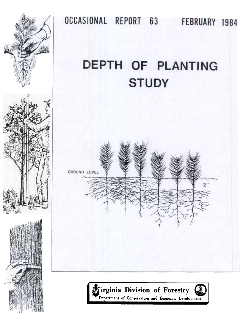

OCCASIONAL REPORT 63 FEBRUARY 1984

# DEPTH OF PLANTING **STUDY**



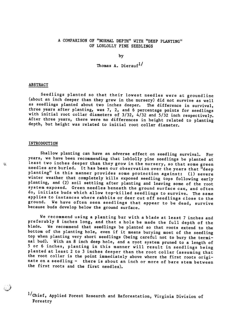# A COMPARISON OF "NORMAL DEPTH" WITH "DEEP PLANTING" OF LOBLOLLY PINE SEEDLINGS

by

Thomas A. Dierauf $^{1/}$ 

## ABSTRACT

Seedlings planted so that their lowest needles were at groundline (about an inch deeper than they grew in the nursery) did not survive as well as seedlings planted about two inches deeper. The difference in survival, three years after planting, was 7, 2, and 6 percentage points for seedlings with initial root collar diameters of 3/32, 4/32 and 5/32 inch respectively. After three years, there were no differences in height related to planting depth, but height was related to initial root collar diameter.

#### INTRODUCTION

Shallow planting can have an adverse effect on seedling survival. For years, we have been recommending that loblolly pine seedlings be planted at least two inches deeper than they grow in the nursery, so that some green needles are buried. It has been our observation over the years that "deep planting" in this manner provides some protection against: (1) severe winter weather that completely kills exposed seedling tops following early planting, and (2) soil settling after planting and leaving some of the root system exposed. Green needles beneath the ground surface can, and often do, initiate buds which allow top-killed seedlings to survive. The same applies to instances where rabbits or deer cut off seedlings close to the ground. We have often seen seedlings that appear to be dead, survive because buds develop below the ground surface.

We recommend using a planting bar with a blade at least 7 inches and preferably 8 inches long, and that a hole be made the full depth of the blade. We recommend that seedlings be planted so that roots extend to the bottom of the planting hole, even if it means burying most of the seedling top when planting very short seedlings (being careful not to bury the terminal bud). With an 8 inch deep hole, and a root system pruned to a length of 5 or 6 inches, planting in this manner will result in seedlings being planted at least 2 to 3 inches deeper than the root collar (assuming that the root collar is the point immediately above where the first roots originate on a seedling - there is about an inch or more of bare stem between the first roots and the first needles).

l/Chief, Applied Forest Research and Reforestation, Virginia Division of Forestry

", !~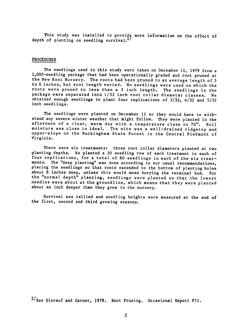This study was installed to provide more information on the effect of depth of planting on seedling survival.<sup>2/</sup>

## PROCEDURES

The seedlings used in this study were taken on December 11, 1979 from a I,OOO-seedling package that had been operationally graded and root pruned at the New Kent Nursery. The roots had been pruned to an average length of 5 to 6 inches, but root length varied. No seedlings were used on which the roots were pruned to less than a 3 inch length. The seedlings in the package were separated intp 1/32 inch root collar diameter classes. We obtained enough seedlings to plant four replications of 3/32, 4/32 and 5/32 inch seedlings.

The seedlings were planted on December 12 so they would have to withstand any severe winter weather that might follow. They were planted in the afternoon of a clear, warm day with a temperature close to 70°. Soil moisture was close to ideal. The site was a well-drained ridgetop and upper-slope on the Buckingham State Forest in the Central Piedmont of Virginia.

There were six treatments: three root collar diameters planted at two planting depths. We planted a 20 seedling row of each treatment in each of four replications, for a total of 80 seedlings in each of the six treatments. The "deep planting" was done according to our usual recommendations, placing the seedlings so that roots extended to the bottom of planting holes about 8 inches deep, unless this would mean burying the terminal bud. For the "normal depth" planting, seedlings were planted so that the lowest needles were about at the groundline, which means that they were planted about an inch deeper than they grew in the nursery.

Survival was tallied and seedling heights were measured at the end of the first, second and third growing seasons.

 $2/\text{See}$  Dierauf and Garner, 1978. Root Pruning. Occasional Report #52.